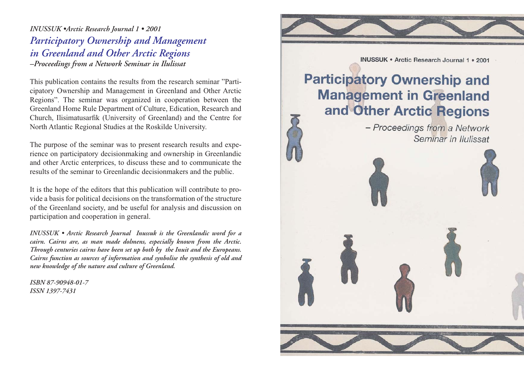*INUSSUK •Arctic Research Journal 1 • 2001 Participatory Ownership and Management in Greenland and Other Arctic Regions –Proceedings from a Network Seminar in Ilulissat*

This publication contains the results from the research seminar "Participatory Ownership and Management in Greenland and Other Arctic Regions". The seminar was organized in cooperation between the Greenland Home Rule Department of Culture, Edication, Research and Church, Ilisimatusarfik (University of Greenland) and the Centre for North Atlantic Regional Studies at the Roskilde University.

The purpose of the seminar was to present research results and experience on participatory decisionmaking and ownership in Greenlandic and other Arctic enterprices, to discuss these and to communicate the results of the seminar to Greenlandic decisionmakers and the public.

It is the hope of the editors that this publication will contribute to provide a basis for political decisions on the transformation of the structure of the Greenland society, and be useful for analysis and discussion on participation and cooperation in general.

*INUSSUK • Arctic Research Journal Inussuk is the Greenlandic word for a cairn. Cairns are, as man made dolmens, especially known from the Arctic. Through centuries cairns have been set up both by the Inuit and the Europeans. Cairns function as sources of information and synbolise the synthesis of old and new knowledge of the nature and culture of Greenland.*

*ISBN 87-90948-01-7 ISSN 1397-7431*